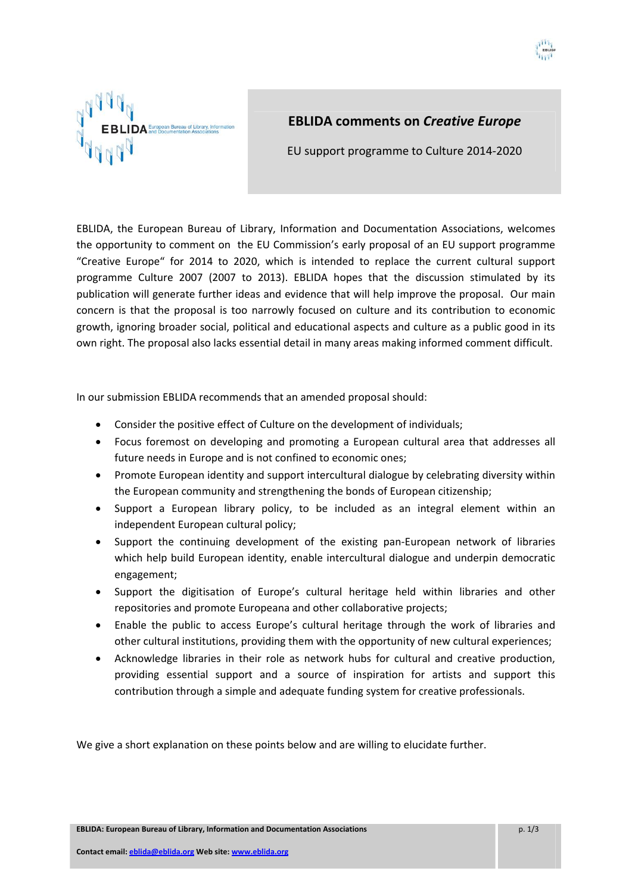

# **EBLIDA comments on** *Creative Europe*

EU support programme to Culture 2014‐2020

EBLIDA, the European Bureau of Library, Information and Documentation Associations, welcomes the opportunity to comment on the EU Commission's early proposal of an EU support programme "Creative Europe" for 2014 to 2020, which is intended to replace the current cultural support programme Culture 2007 (2007 to 2013). EBLIDA hopes that the discussion stimulated by its publication will generate further ideas and evidence that will help improve the proposal. Our main concern is that the proposal is too narrowly focused on culture and its contribution to economic growth, ignoring broader social, political and educational aspects and culture as a public good in its own right. The proposal also lacks essential detail in many areas making informed comment difficult.

In our submission EBLIDA recommends that an amended proposal should:

- Consider the positive effect of Culture on the development of individuals;
- Focus foremost on developing and promoting a European cultural area that addresses all future needs in Europe and is not confined to economic ones;
- Promote European identity and support intercultural dialogue by celebrating diversity within the European community and strengthening the bonds of European citizenship;
- Support a European library policy, to be included as an integral element within an independent European cultural policy;
- Support the continuing development of the existing pan‐European network of libraries which help build European identity, enable intercultural dialogue and underpin democratic engagement;
- Support the digitisation of Europe's cultural heritage held within libraries and other repositories and promote Europeana and other collaborative projects;
- Enable the public to access Europe's cultural heritage through the work of libraries and other cultural institutions, providing them with the opportunity of new cultural experiences;
- Acknowledge libraries in their role as network hubs for cultural and creative production, providing essential support and a source of inspiration for artists and support this contribution through a simple and adequate funding system for creative professionals.

We give a short explanation on these points below and are willing to elucidate further.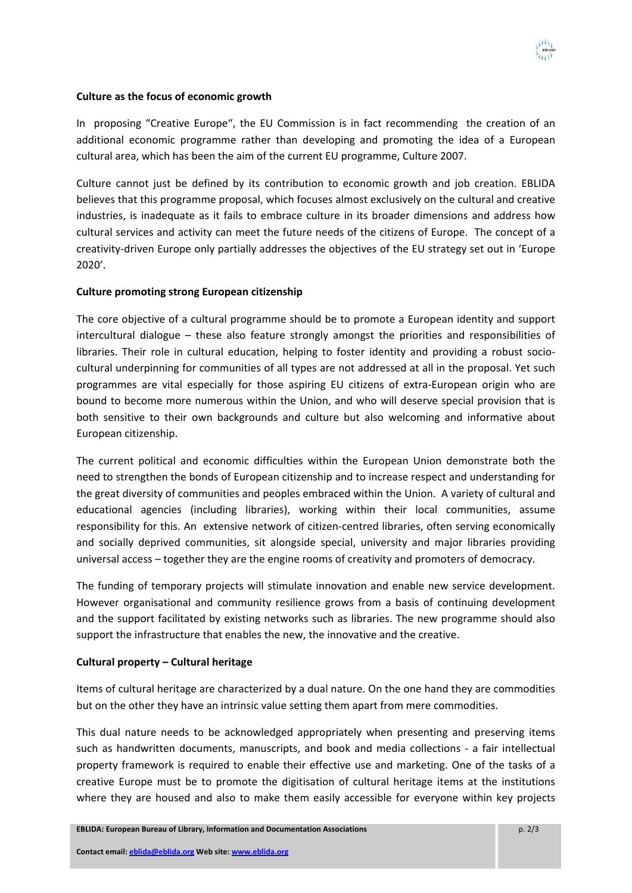

## **Culture as the focus of economic growth**

In proposing "Creative Europe", the EU Commission is in fact recommending the creation of an additional economic programme rather than developing and promoting the idea of a European cultural area, which has been the aim of the current EU programme, Culture 2007.

Culture cannot just be defined by its contribution to economic growth and job creation. EBLIDA believes that this programme proposal, which focuses almost exclusively on the cultural and creative industries, is inadequate as it fails to embrace culture in its broader dimensions and address how cultural services and activity can meet the future needs of the citizens of Europe. The concept of a creativity-driven Europe only partially addresses the objectives of the EU strategy set out in 'Europe 2020'.

## **Culture promoting strong European citizenship**

The core objective of a cultural programme should be to promote a European identity and support intercultural dialogue – these also feature strongly amongst the priorities and responsibilities of libraries. Their role in cultural education, helping to foster identity and providing a robust sociocultural underpinning for communities of all types are not addressed at all in the proposal. Yet such programmes are vital especially for those aspiring EU citizens of extra‐European origin who are bound to become more numerous within the Union, and who will deserve special provision that is both sensitive to their own backgrounds and culture but also welcoming and informative about European citizenship.

The current political and economic difficulties within the European Union demonstrate both the need to strengthen the bonds of European citizenship and to increase respect and understanding for the great diversity of communities and peoples embraced within the Union. A variety of cultural and educational agencies (including libraries), working within their local communities, assume responsibility for this. An extensive network of citizen-centred libraries, often serving economically and socially deprived communities, sit alongside special, university and major libraries providing universal access – together they are the engine rooms of creativity and promoters of democracy.

The funding of temporary projects will stimulate innovation and enable new service development. However organisational and community resilience grows from a basis of continuing development and the support facilitated by existing networks such as libraries. The new programme should also support the infrastructure that enables the new, the innovative and the creative.

#### **Cultural property – Cultural heritage**

Items of cultural heritage are characterized by a dual nature. On the one hand they are commodities but on the other they have an intrinsic value setting them apart from mere commodities.

This dual nature needs to be acknowledged appropriately when presenting and preserving items such as handwritten documents, manuscripts, and book and media collections - a fair intellectual property framework is required to enable their effective use and marketing. One of the tasks of a creative Europe must be to promote the digitisation of cultural heritage items at the institutions where they are housed and also to make them easily accessible for everyone within key projects